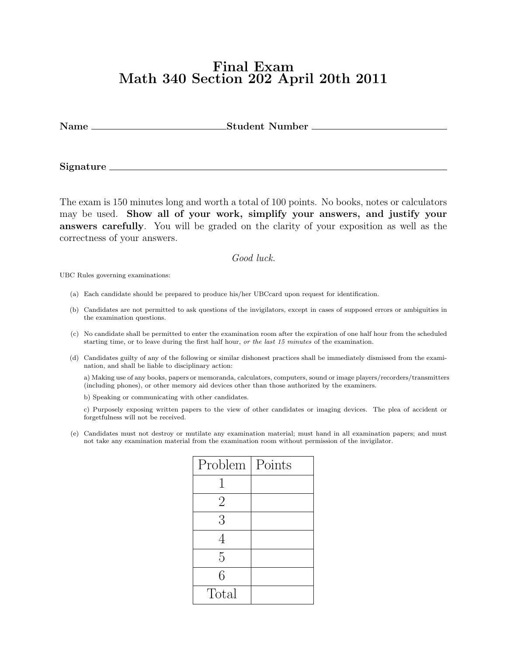# Final Exam Math 340 Section 202 April 20th 2011

| Name | _Student Number |
|------|-----------------|
|      |                 |

Signature

The exam is 150 minutes long and worth a total of 100 points. No books, notes or calculators may be used. Show all of your work, simplify your answers, and justify your answers carefully. You will be graded on the clarity of your exposition as well as the correctness of your answers.

## Good luck.

UBC Rules governing examinations:

- (a) Each candidate should be prepared to produce his/her UBCcard upon request for identification.
- (b) Candidates are not permitted to ask questions of the invigilators, except in cases of supposed errors or ambiguities in the examination questions.
- (c) No candidate shall be permitted to enter the examination room after the expiration of one half hour from the scheduled starting time, or to leave during the first half hour, or the last 15 minutes of the examination.
- (d) Candidates guilty of any of the following or similar dishonest practices shall be immediately dismissed from the examination, and shall be liable to disciplinary action:

a) Making use of any books, papers or memoranda, calculators, computers, sound or image players/recorders/transmitters (including phones), or other memory aid devices other than those authorized by the examiners.

b) Speaking or communicating with other candidates.

c) Purposely exposing written papers to the view of other candidates or imaging devices. The plea of accident or forgetfulness will not be received.

(e) Candidates must not destroy or mutilate any examination material; must hand in all examination papers; and must not take any examination material from the examination room without permission of the invigilator.

| Problem        | Points |
|----------------|--------|
| 1              |        |
| $\overline{2}$ |        |
| 3              |        |
|                |        |
| 5              |        |
| 6              |        |
| Total          |        |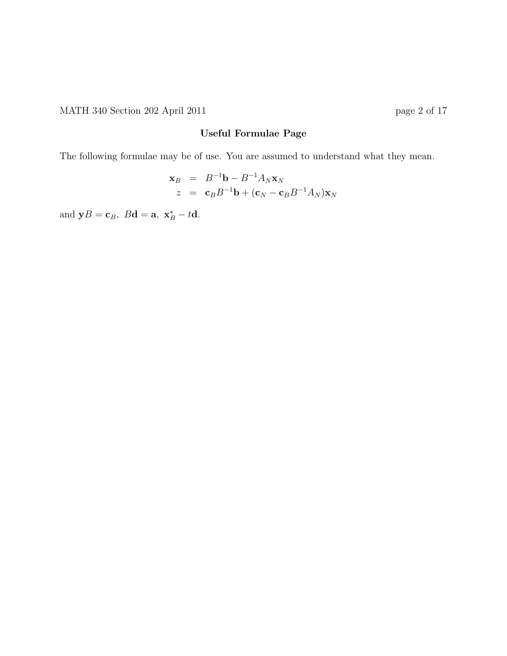MATH 340 Section 202 April 2011 page 2 of 17

## Useful Formulae Page

The following formulae may be of use. You are assumed to understand what they mean.

$$
\mathbf{x}_B = B^{-1}\mathbf{b} - B^{-1}A_N\mathbf{x}_N
$$
  
\n
$$
z = \mathbf{c}_B B^{-1}\mathbf{b} + (\mathbf{c}_N - \mathbf{c}_B B^{-1}A_N)\mathbf{x}_N
$$

and  $yB = c_B$ ,  $Bd = a$ ,  $x_B^* - t d$ .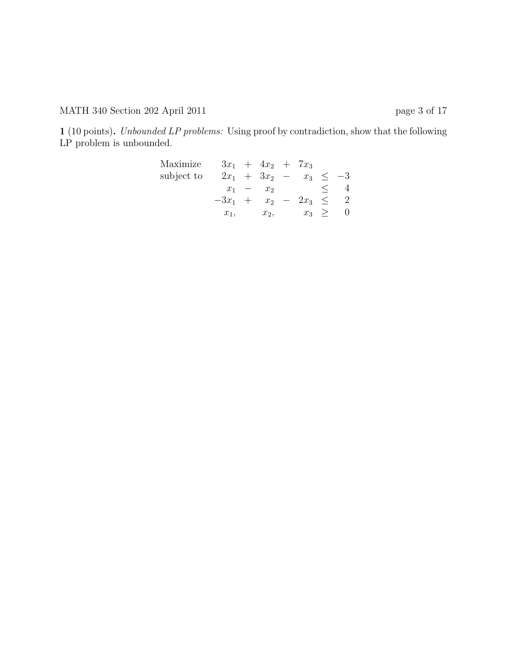1 (10 points). Unbounded LP problems: Using proof by contradiction, show that the following LP problem is unbounded.

$$
\begin{array}{rcl}\n\text{Maximize} & 3x_1 + 4x_2 + 7x_3 \\
\text{subject to} & 2x_1 + 3x_2 - x_3 \le -3 \\
& x_1 - x_2 & \le 4 \\
& -3x_1 + x_2 - 2x_3 \le 2 \\
& x_1, \quad x_2, \quad x_3 \ge 0\n\end{array}
$$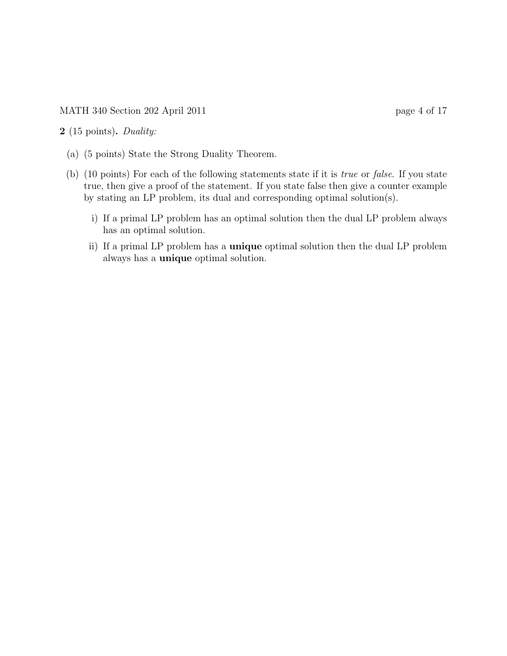## MATH 340 Section 202 April 2011 page 4 of 17

- **2** (15 points). Duality:
	- (a) (5 points) State the Strong Duality Theorem.
	- (b) (10 points) For each of the following statements state if it is true or false. If you state true, then give a proof of the statement. If you state false then give a counter example by stating an LP problem, its dual and corresponding optimal solution(s).
		- i) If a primal LP problem has an optimal solution then the dual LP problem always has an optimal solution.
		- ii) If a primal LP problem has a unique optimal solution then the dual LP problem always has a unique optimal solution.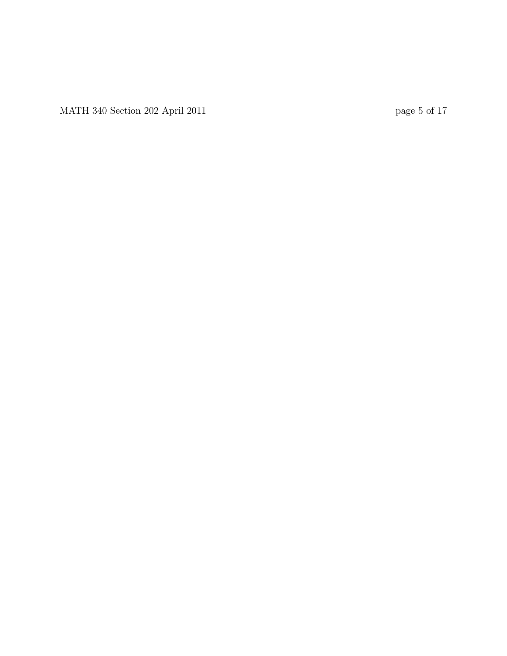MATH 340 Section 202 April 2011 page 5 of 17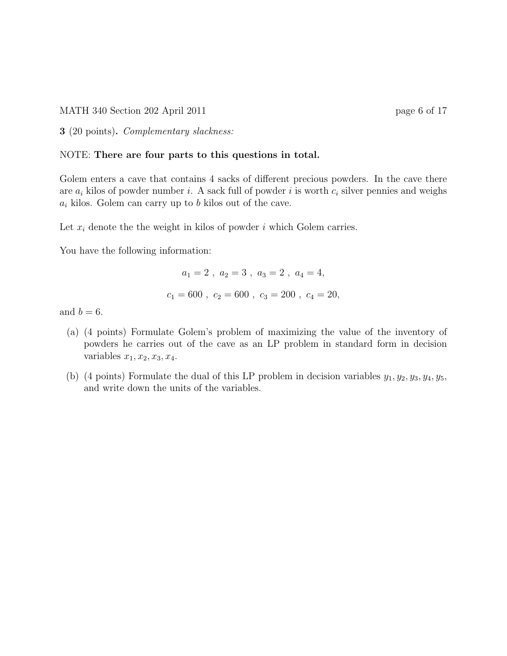#### MATH 340 Section 202 April 2011 **page 6 of 17**

3 (20 points). Complementary slackness:

## NOTE: There are four parts to this questions in total.

Golem enters a cave that contains 4 sacks of different precious powders. In the cave there are  $a_i$  kilos of powder number i. A sack full of powder i is worth  $c_i$  silver pennies and weighs  $a_i$  kilos. Golem can carry up to b kilos out of the cave.

Let  $x_i$  denote the the weight in kilos of powder i which Golem carries.

You have the following information:

$$
a_1 = 2
$$
,  $a_2 = 3$ ,  $a_3 = 2$ ,  $a_4 = 4$ ,  
 $c_1 = 600$ ,  $c_2 = 600$ ,  $c_3 = 200$ ,  $c_4 = 20$ ,

and  $b = 6$ .

- (a) (4 points) Formulate Golem's problem of maximizing the value of the inventory of powders he carries out of the cave as an LP problem in standard form in decision variables  $x_1, x_2, x_3, x_4$ .
- (b) (4 points) Formulate the dual of this LP problem in decision variables  $y_1, y_2, y_3, y_4, y_5$ , and write down the units of the variables.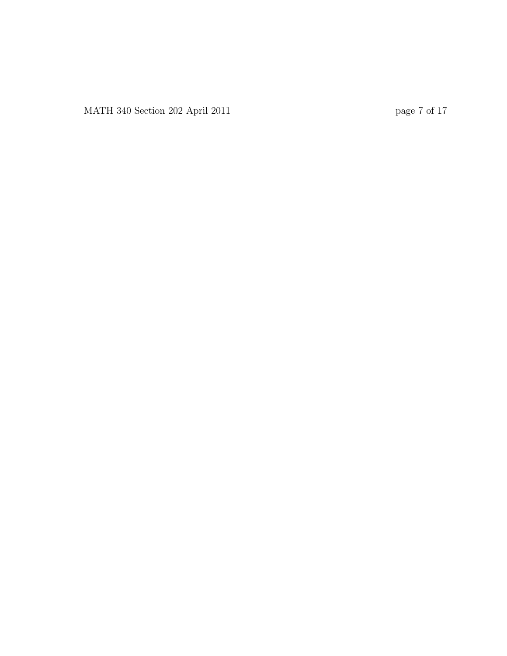MATH 340 Section 202 April 2011 page 7 of 17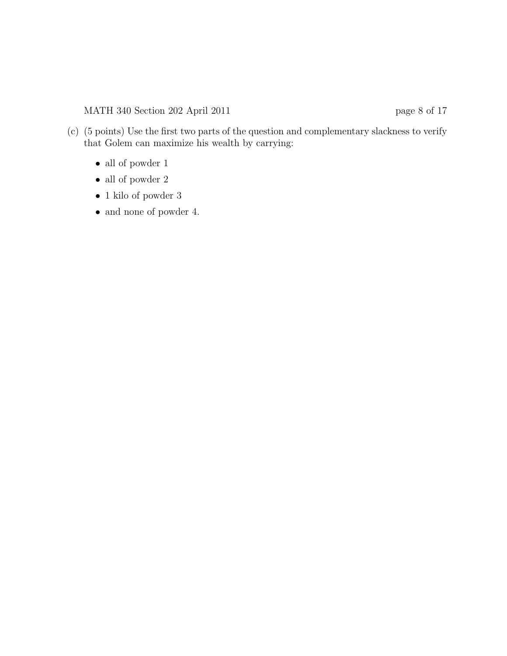MATH 340 Section 202 April 2011 page 8 of 17

- (c) (5 points) Use the first two parts of the question and complementary slackness to verify that Golem can maximize his wealth by carrying:
	- all of powder 1
	- $\bullet\,$  all of powder  $2$
	- $\bullet\,$  1 kilo of powder  $3$
	- and none of powder 4.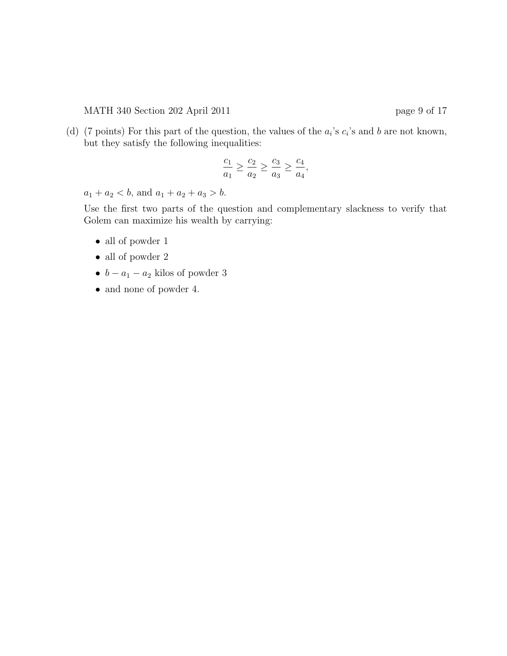MATH 340 Section 202 April 2011 page 9 of 17

(d) (7 points) For this part of the question, the values of the  $a_i$ 's  $c_i$ 's and b are not known, but they satisfy the following inequalities:

$$
\frac{c_1}{a_1} \ge \frac{c_2}{a_2} \ge \frac{c_3}{a_3} \ge \frac{c_4}{a_4},
$$

 $a_1 + a_2 < b$ , and  $a_1 + a_2 + a_3 > b$ .

Use the first two parts of the question and complementary slackness to verify that Golem can maximize his wealth by carrying:

- all of powder 1
- $\bullet\,$  all of powder  $2$
- $b a_1 a_2$  kilos of powder 3
- and none of powder 4.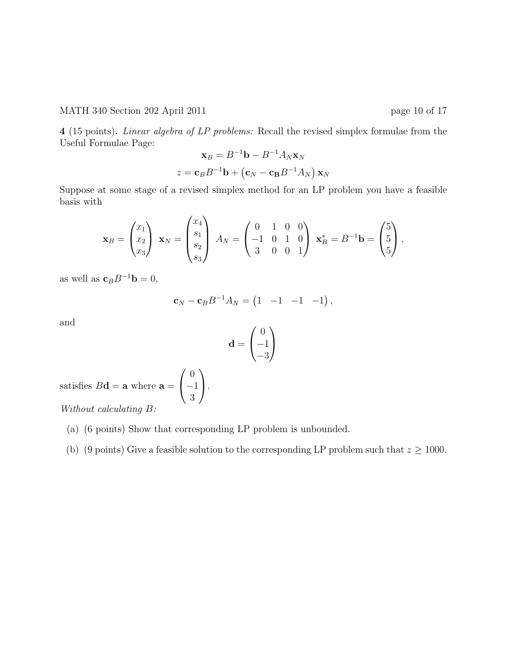## MATH 340 Section 202 April 2011 page 10 of 17

 $\boldsymbol{z}$ 

4 (15 points). Linear algebra of LP problems: Recall the revised simplex formulae from the Useful Formulae Page:

$$
\mathbf{x}_B = B^{-1}\mathbf{b} - B^{-1}A_N \mathbf{x}_N
$$

$$
= \mathbf{c}_B B^{-1}\mathbf{b} + (\mathbf{c}_N - \mathbf{c}_B B^{-1}A_N) \mathbf{x}_N
$$

Suppose at some stage of a revised simplex method for an LP problem you have a feasible basis with

$$
\mathbf{x}_B = \begin{pmatrix} x_1 \\ x_2 \\ x_3 \end{pmatrix} \mathbf{x}_N = \begin{pmatrix} x_4 \\ s_1 \\ s_2 \\ s_3 \end{pmatrix} A_N = \begin{pmatrix} 0 & 1 & 0 & 0 \\ -1 & 0 & 1 & 0 \\ 3 & 0 & 0 & 1 \end{pmatrix} \mathbf{x}_B^* = B^{-1} \mathbf{b} = \begin{pmatrix} 5 \\ 5 \\ 5 \end{pmatrix},
$$

as well as  $\mathbf{c}_B B^{-1} \mathbf{b} = 0$ ,

$$
\mathbf{c}_N - \mathbf{c}_B B^{-1} A_N = \begin{pmatrix} 1 & -1 & -1 \end{pmatrix},
$$

and

$$
\mathbf{d} = \begin{pmatrix} 0 \\ -1 \\ -3 \end{pmatrix}
$$

satisfies  $B\mathbf{d} = \mathbf{a}$  where  $\mathbf{a} =$  $\sqrt{ }$  $\mathcal{L}$ 0 −1 3  $\setminus$  $\cdot$ Without calculating B:

- - (a) (6 points) Show that corresponding LP problem is unbounded.
- (b) (9 points) Give a feasible solution to the corresponding LP problem such that  $z \ge 1000$ .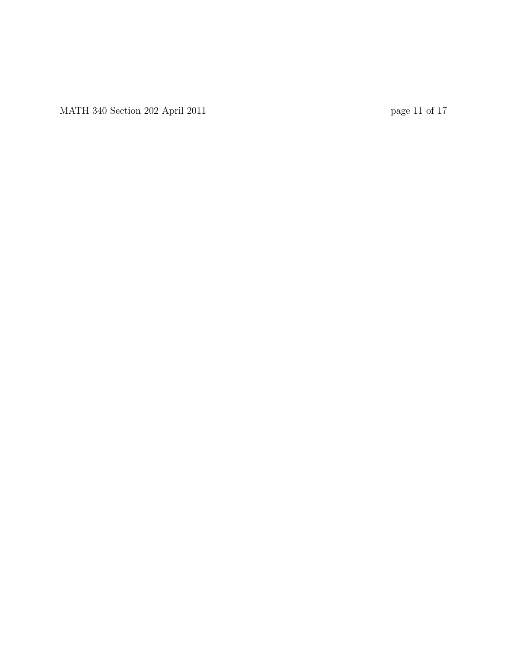MATH 340 Section 202 April 2011 page 11 of 17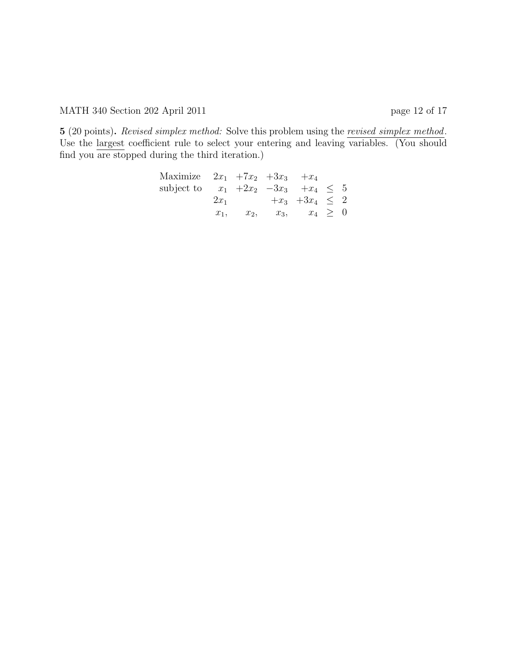5 (20 points). Revised simplex method: Solve this problem using the revised simplex method. Use the largest coefficient rule to select your entering and leaving variables. (You should find you are stopped during the third iteration.)

| $2x_1$  |  |         |                                     |                                                                                           |
|---------|--|---------|-------------------------------------|-------------------------------------------------------------------------------------------|
| $x_1$ , |  |         |                                     |                                                                                           |
|         |  | $x_2$ , | Maximize $2x_1 + 7x_2 + 3x_3 + x_4$ | subject to $x_1 + 2x_2 - 3x_3 + x_4 \leq 5$<br>$+x_3$ $+3x_4$ < 2<br>$x_3, \quad x_4 > 0$ |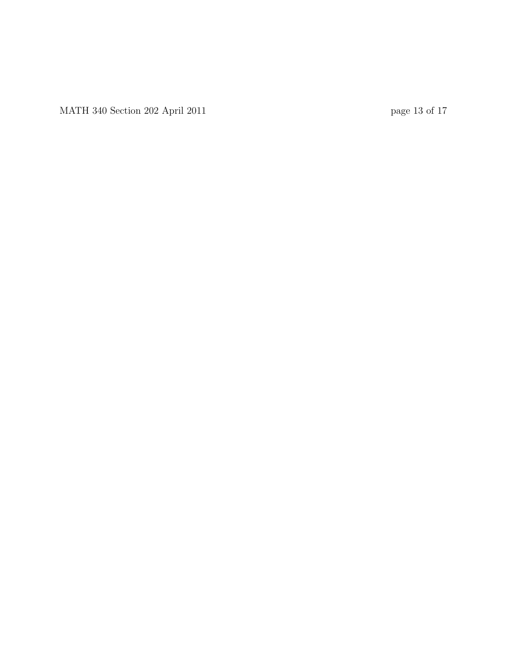MATH 340 Section 202 April 2011 page 13 of 17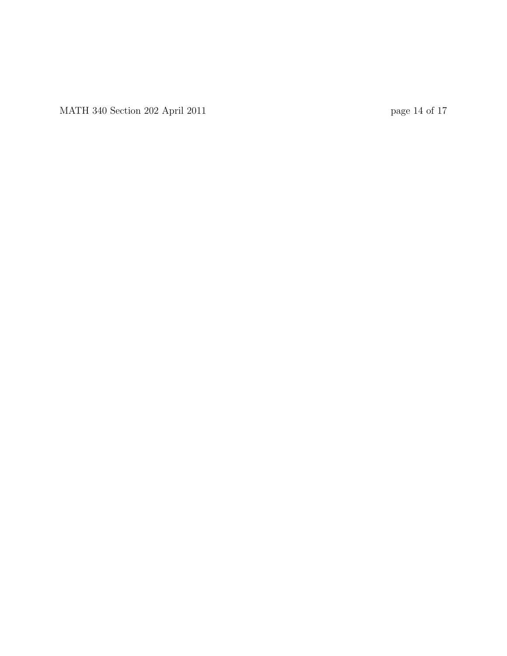MATH 340 Section 202 April 2011 page 14 of 17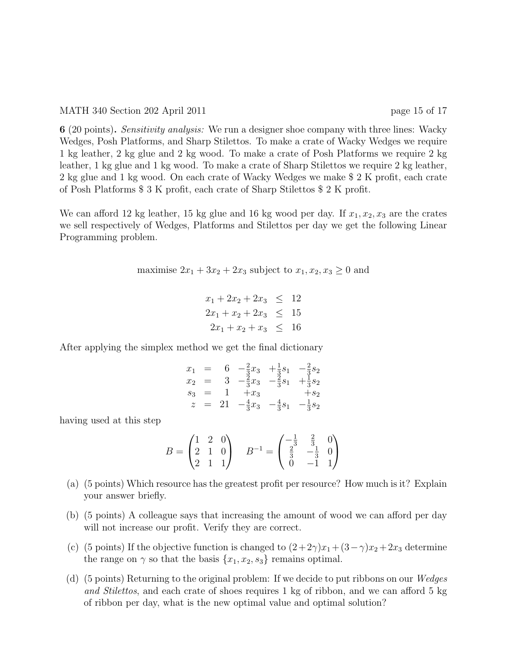6 (20 points). Sensitivity analysis: We run a designer shoe company with three lines: Wacky Wedges, Posh Platforms, and Sharp Stilettos. To make a crate of Wacky Wedges we require 1 kg leather, 2 kg glue and 2 kg wood. To make a crate of Posh Platforms we require 2 kg leather, 1 kg glue and 1 kg wood. To make a crate of Sharp Stilettos we require 2 kg leather, 2 kg glue and 1 kg wood. On each crate of Wacky Wedges we make \$ 2 K profit, each crate of Posh Platforms \$ 3 K profit, each crate of Sharp Stilettos \$ 2 K profit.

We can afford 12 kg leather, 15 kg glue and 16 kg wood per day. If  $x_1, x_2, x_3$  are the crates we sell respectively of Wedges, Platforms and Stilettos per day we get the following Linear Programming problem.

maximise  $2x_1 + 3x_2 + 2x_3$  subject to  $x_1, x_2, x_3 \ge 0$  and

$$
x_1 + 2x_2 + 2x_3 \le 12
$$
  
\n
$$
2x_1 + x_2 + 2x_3 \le 15
$$
  
\n
$$
2x_1 + x_2 + x_3 \le 16
$$

After applying the simplex method we get the final dictionary

$$
\begin{array}{rcl}\nx_1 &=& 6 & -\frac{2}{3}x_3 & +\frac{1}{3}s_1 & -\frac{2}{3}s_2 \\
x_2 &=& 3 & -\frac{3}{3}x_3 & -\frac{3}{3}s_1 & +\frac{1}{3}s_2 \\
s_3 &=& 1 & +x_3 & +s_2 \\
z &=& 21 & -\frac{4}{3}x_3 & -\frac{4}{3}s_1 & -\frac{1}{3}s_2\n\end{array}
$$

having used at this step

$$
B = \begin{pmatrix} 1 & 2 & 0 \\ 2 & 1 & 0 \\ 2 & 1 & 1 \end{pmatrix} \quad B^{-1} = \begin{pmatrix} -\frac{1}{3} & \frac{2}{3} & 0 \\ \frac{2}{3} & -\frac{1}{3} & 0 \\ 0 & -1 & 1 \end{pmatrix}
$$

- (a) (5 points) Which resource has the greatest profit per resource? How much is it? Explain your answer briefly.
- (b) (5 points) A colleague says that increasing the amount of wood we can afford per day will not increase our profit. Verify they are correct.
- (c) (5 points) If the objective function is changed to  $(2+2\gamma)x_1 + (3-\gamma)x_2 + 2x_3$  determine the range on  $\gamma$  so that the basis  $\{x_1, x_2, s_3\}$  remains optimal.
- (d) (5 points) Returning to the original problem: If we decide to put ribbons on our Wedges and Stilettos, and each crate of shoes requires 1 kg of ribbon, and we can afford 5 kg of ribbon per day, what is the new optimal value and optimal solution?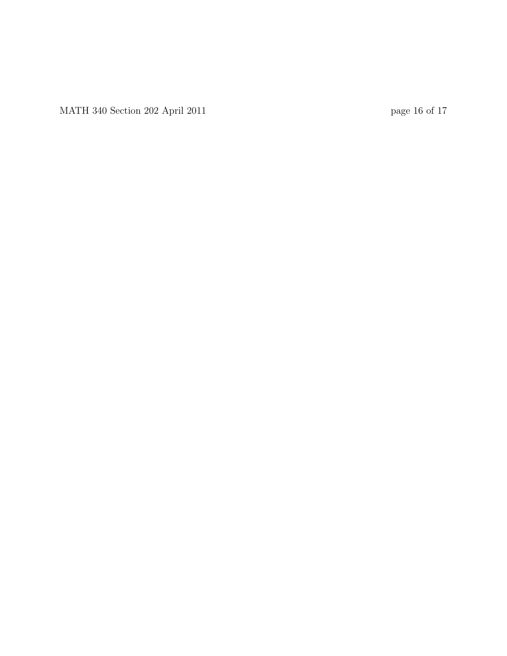MATH 340 Section 202 April 2011 page 16 of 17